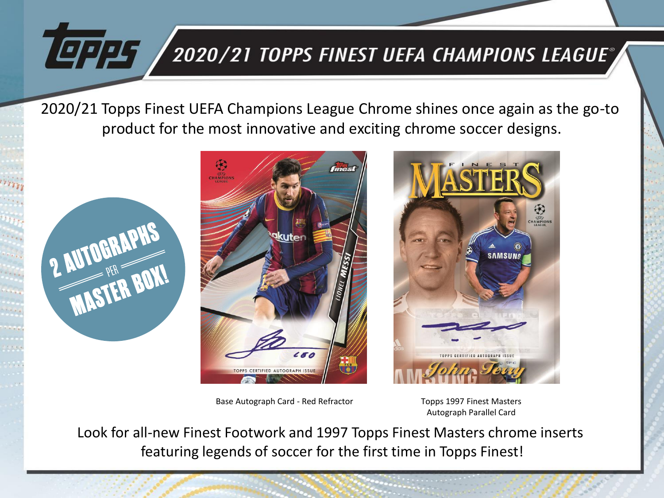## 2020/21 TOPPS FINEST UEFA CHAMPIONS LEAGUE®

2020/21 Topps Finest UEFA Champions League Chrome shines once again as the go-to product for the most innovative and exciting chrome soccer designs.



**LEPPS** 



Base Autograph Card - Red Refractor Topps 1997 Finest Masters



Autograph Parallel Card

Look for all-new Finest Footwork and 1997 Topps Finest Masters chrome inserts featuring legends of soccer for the first time in Topps Finest!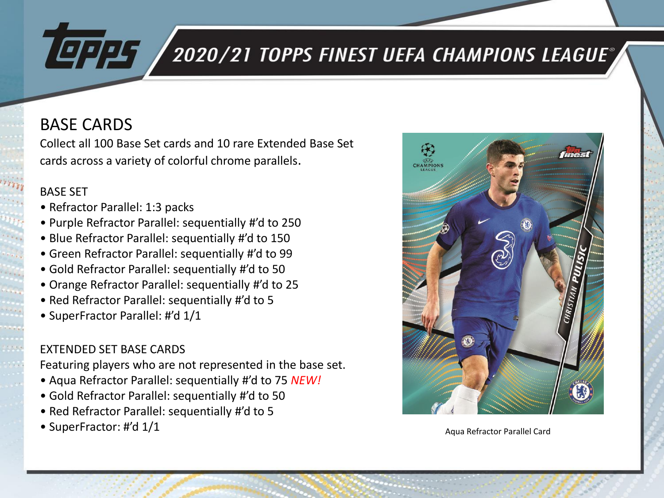# **LEPPS**

# $^{'}$ 2020/21 TOPPS FINEST UEFA CHAMPIONS LEAGUE $^{''}$

#### BASE CARDS

Collect all 100 Base Set cards and 10 rare Extended Base Set cards across a variety of colorful chrome parallels.

#### BASE SET

- Refractor Parallel: 1:3 packs
- Purple Refractor Parallel: sequentially #'d to 250
- Blue Refractor Parallel: sequentially #'d to 150
- Green Refractor Parallel: sequentially #'d to 99
- Gold Refractor Parallel: sequentially #'d to 50
- Orange Refractor Parallel: sequentially #'d to 25
- Red Refractor Parallel: sequentially #'d to 5
- SuperFractor Parallel: #'d 1/1

#### EXTENDED SET BASE CARDS

Featuring players who are not represented in the base set.

- Aqua Refractor Parallel: sequentially #'d to 75 *NEW!*
- Gold Refractor Parallel: sequentially #'d to 50
- Red Refractor Parallel: sequentially #'d to 5
- SuperFractor: #'d 1/1 Aqua Refractor Parallel Card

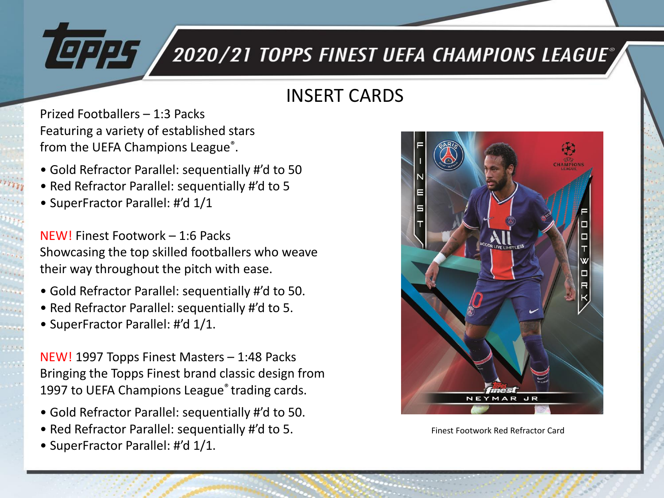# 2020/21 TOPPS FINEST UEFA CHAMPIONS LEAGUE®

### INSERT CARDS

Prized Footballers – 1:3 Packs Featuring a variety of established stars from the UEFA Champions League<sup>®</sup>.

- Gold Refractor Parallel: sequentially #'d to 50
- Red Refractor Parallel: sequentially #'d to 5
- SuperFractor Parallel: #'d 1/1

19225

NEW! Finest Footwork – 1:6 Packs Showcasing the top skilled footballers who weave their way throughout the pitch with ease.

- Gold Refractor Parallel: sequentially #'d to 50.
- Red Refractor Parallel: sequentially #'d to 5.
- SuperFractor Parallel: #'d 1/1.

NEW! 1997 Topps Finest Masters – 1:48 Packs Bringing the Topps Finest brand classic design from 1997 to UEFA Champions League® trading cards.

- Gold Refractor Parallel: sequentially #'d to 50.
- Red Refractor Parallel: sequentially #'d to 5.
- SuperFractor Parallel: #'d 1/1.



Finest Footwork Red Refractor Card